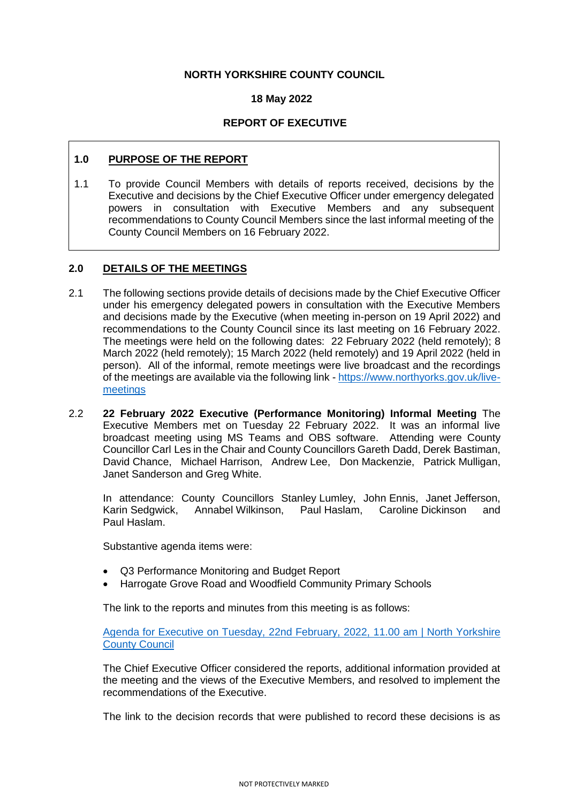# **NORTH YORKSHIRE COUNTY COUNCIL**

### **18 May 2022**

### **REPORT OF EXECUTIVE**

# **1.0 PURPOSE OF THE REPORT**

1.1 To provide Council Members with details of reports received, decisions by the Executive and decisions by the Chief Executive Officer under emergency delegated powers in consultation with Executive Members and any subsequent recommendations to County Council Members since the last informal meeting of the County Council Members on 16 February 2022.

#### **2.0 DETAILS OF THE MEETINGS**

- 2.1 The following sections provide details of decisions made by the Chief Executive Officer under his emergency delegated powers in consultation with the Executive Members and decisions made by the Executive (when meeting in-person on 19 April 2022) and recommendations to the County Council since its last meeting on 16 February 2022. The meetings were held on the following dates: 22 February 2022 (held remotely); 8 March 2022 (held remotely); 15 March 2022 (held remotely) and 19 April 2022 (held in person). All of the informal, remote meetings were live broadcast and the recordings of the meetings are available via the following link - [https://www.northyorks.gov.uk/live](https://www.northyorks.gov.uk/live-meetings)[meetings](https://www.northyorks.gov.uk/live-meetings)
- 2.2 **22 February 2022 Executive (Performance Monitoring) Informal Meeting** The Executive Members met on Tuesday 22 February 2022. It was an informal live broadcast meeting using MS Teams and OBS software. Attending were County Councillor Carl Les in the Chair and County Councillors Gareth Dadd, Derek Bastiman, David Chance, Michael Harrison, Andrew Lee, Don Mackenzie, Patrick Mulligan, Janet Sanderson and Greg White.

In attendance: County Councillors Stanley Lumley, John Ennis, Janet Jefferson, Karin Sedgwick, Annabel Wilkinson, Paul Haslam, Caroline Dickinson and Paul Haslam.

Substantive agenda items were:

- Q3 Performance Monitoring and Budget Report
- Harrogate Grove Road and Woodfield Community Primary Schools

The link to the reports and minutes from this meeting is as follows:

[Agenda for Executive on Tuesday, 22nd February, 2022, 11.00 am | North Yorkshire](http://pa-mgov/ieListDocuments.aspx?CId=1147&MId=4501&Ver=4)  [County Council](http://pa-mgov/ieListDocuments.aspx?CId=1147&MId=4501&Ver=4)

The Chief Executive Officer considered the reports, additional information provided at the meeting and the views of the Executive Members, and resolved to implement the recommendations of the Executive.

The link to the decision records that were published to record these decisions is as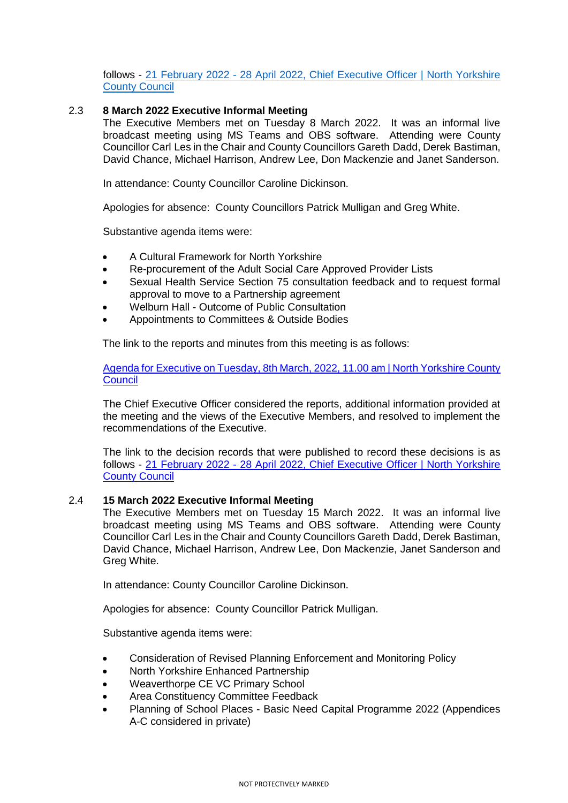follows - 21 February 2022 - [28 April 2022, Chief Executive Officer | North Yorkshire](http://pa-mgov/mgDelegatedDecisions.aspx?XXR=0&&DR=21%2f02%2f2022-28%2f04%2f2022&ACT=Find&RP=0&K=0&V=0&DM=1166O&HD=0&DS=2&Next=true&NOW=270422091650&META=mgdelegateddecisions)  [County Council](http://pa-mgov/mgDelegatedDecisions.aspx?XXR=0&&DR=21%2f02%2f2022-28%2f04%2f2022&ACT=Find&RP=0&K=0&V=0&DM=1166O&HD=0&DS=2&Next=true&NOW=270422091650&META=mgdelegateddecisions)

### 2.3 **8 March 2022 Executive Informal Meeting**

The Executive Members met on Tuesday 8 March 2022. It was an informal live broadcast meeting using MS Teams and OBS software. Attending were County Councillor Carl Les in the Chair and County Councillors Gareth Dadd, Derek Bastiman, David Chance, Michael Harrison, Andrew Lee, Don Mackenzie and Janet Sanderson.

In attendance: County Councillor Caroline Dickinson.

Apologies for absence: County Councillors Patrick Mulligan and Greg White.

Substantive agenda items were:

- A Cultural Framework for North Yorkshire
- Re-procurement of the Adult Social Care Approved Provider Lists
- Sexual Health Service Section 75 consultation feedback and to request formal approval to move to a Partnership agreement
- Welburn Hall Outcome of Public Consultation
- Appointments to Committees & Outside Bodies

The link to the reports and minutes from this meeting is as follows:

[Agenda for Executive on Tuesday, 8th March, 2022, 11.00 am | North Yorkshire County](https://edemocracy.northyorks.gov.uk/ieListDocuments.aspx?CId=1147&MId=6236&Ver=4)  **[Council](https://edemocracy.northyorks.gov.uk/ieListDocuments.aspx?CId=1147&MId=6236&Ver=4)** 

The Chief Executive Officer considered the reports, additional information provided at the meeting and the views of the Executive Members, and resolved to implement the recommendations of the Executive.

The link to the decision records that were published to record these decisions is as follows - 21 February 2022 - [28 April 2022, Chief Executive Officer | North Yorkshire](http://pa-mgov/mgDelegatedDecisions.aspx?XXR=0&&DR=21%2f02%2f2022-28%2f04%2f2022&ACT=Find&RP=0&K=0&V=0&DM=1166O&HD=0&DS=2&Next=true&NOW=270422091650&META=mgdelegateddecisions)  [County Council](http://pa-mgov/mgDelegatedDecisions.aspx?XXR=0&&DR=21%2f02%2f2022-28%2f04%2f2022&ACT=Find&RP=0&K=0&V=0&DM=1166O&HD=0&DS=2&Next=true&NOW=270422091650&META=mgdelegateddecisions)

#### 2.4 **15 March 2022 Executive Informal Meeting**

The Executive Members met on Tuesday 15 March 2022. It was an informal live broadcast meeting using MS Teams and OBS software. Attending were County Councillor Carl Les in the Chair and County Councillors Gareth Dadd, Derek Bastiman, David Chance, Michael Harrison, Andrew Lee, Don Mackenzie, Janet Sanderson and Greg White.

In attendance: County Councillor Caroline Dickinson.

Apologies for absence: County Councillor Patrick Mulligan.

Substantive agenda items were:

- Consideration of Revised Planning Enforcement and Monitoring Policy
- North Yorkshire Enhanced Partnership
- Weaverthorpe CE VC Primary School
- Area Constituency Committee Feedback
- Planning of School Places Basic Need Capital Programme 2022 (Appendices A-C considered in private)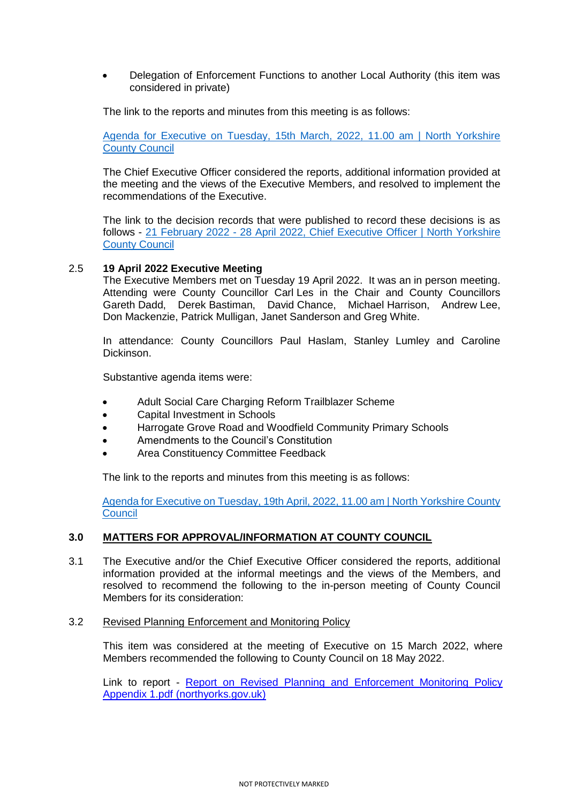Delegation of Enforcement Functions to another Local Authority (this item was considered in private)

The link to the reports and minutes from this meeting is as follows:

[Agenda for Executive on Tuesday, 15th March, 2022, 11.00 am | North Yorkshire](http://pa-mgov/ieListDocuments.aspx?CId=1147&MId=4502&Ver=4)  [County Council](http://pa-mgov/ieListDocuments.aspx?CId=1147&MId=4502&Ver=4)

The Chief Executive Officer considered the reports, additional information provided at the meeting and the views of the Executive Members, and resolved to implement the recommendations of the Executive.

The link to the decision records that were published to record these decisions is as follows - 21 February 2022 - [28 April 2022, Chief Executive Officer | North Yorkshire](http://pa-mgov/mgDelegatedDecisions.aspx?XXR=0&&DR=21%2f02%2f2022-28%2f04%2f2022&ACT=Find&RP=0&K=0&V=0&DM=1166O&HD=0&DS=2&Next=true&NOW=270422091650&META=mgdelegateddecisions)  [County Council](http://pa-mgov/mgDelegatedDecisions.aspx?XXR=0&&DR=21%2f02%2f2022-28%2f04%2f2022&ACT=Find&RP=0&K=0&V=0&DM=1166O&HD=0&DS=2&Next=true&NOW=270422091650&META=mgdelegateddecisions)

### 2.5 **19 April 2022 Executive Meeting**

The Executive Members met on Tuesday 19 April 2022. It was an in person meeting. Attending were County Councillor Carl Les in the Chair and County Councillors Gareth Dadd, Derek Bastiman, David Chance, Michael Harrison, Andrew Lee, Don Mackenzie, Patrick Mulligan, Janet Sanderson and Greg White.

In attendance: County Councillors Paul Haslam, Stanley Lumley and Caroline Dickinson.

Substantive agenda items were:

- Adult Social Care Charging Reform Trailblazer Scheme
- Capital Investment in Schools
- Harrogate Grove Road and Woodfield Community Primary Schools
- Amendments to the Council's Constitution
- Area Constituency Committee Feedback

The link to the reports and minutes from this meeting is as follows:

[Agenda for Executive on Tuesday, 19th April, 2022, 11.00 am | North Yorkshire County](http://pa-mgov/ieListDocuments.aspx?CId=1147&MId=4503&Ver=4)  **[Council](http://pa-mgov/ieListDocuments.aspx?CId=1147&MId=4503&Ver=4)** 

# **3.0 MATTERS FOR APPROVAL/INFORMATION AT COUNTY COUNCIL**

- 3.1 The Executive and/or the Chief Executive Officer considered the reports, additional information provided at the informal meetings and the views of the Members, and resolved to recommend the following to the in-person meeting of County Council Members for its consideration:
- 3.2 Revised Planning Enforcement and Monitoring Policy

This item was considered at the meeting of Executive on 15 March 2022, where Members recommended the following to County Council on 18 May 2022.

Link to report - [Report on Revised Planning and Enforcement Monitoring Policy](https://edemocracy.northyorks.gov.uk/documents/s11624/Report%20on%20Revised%20Planning%20and%20Enforcement%20Monitoring%20Policy%20Appendix%201.pdf)  [Appendix 1.pdf \(northyorks.gov.uk\)](https://edemocracy.northyorks.gov.uk/documents/s11624/Report%20on%20Revised%20Planning%20and%20Enforcement%20Monitoring%20Policy%20Appendix%201.pdf)